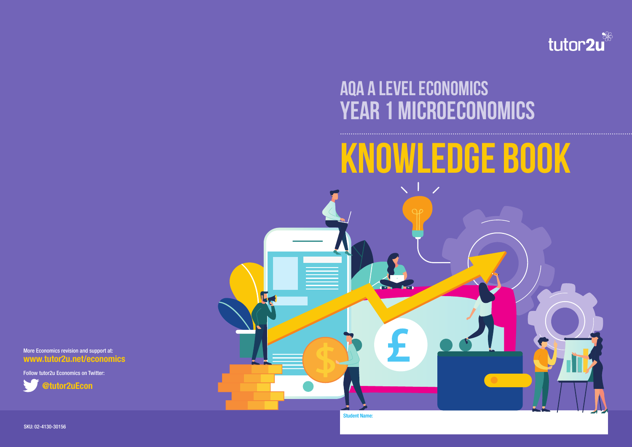SKU: 02-4130-30156



**Year 1 MicroEconomics AQA A LEvel economics**

L.

# **Knowledge Book**



## More Economics revision and support at: **www.tutor2u.net/economics**

Follow tutor2u Economics on Twitter:



Student Name: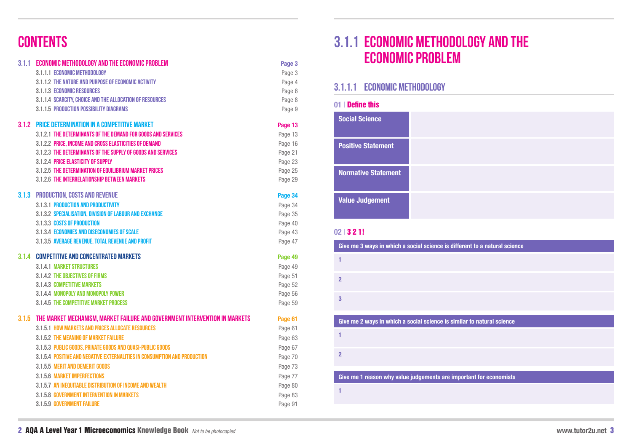# **3.1.1 Economic methodology and the economic problem**

## **3.1.1.1 Economic methodology**

|  | a natural science |  |  |
|--|-------------------|--|--|
|  |                   |  |  |

## **atural science**

## **01** | Define this

## **02** | 3 2 1!

| Give me 3 ways in which a social science is different to a natural science |
|----------------------------------------------------------------------------|
| 1                                                                          |
| $\overline{2}$                                                             |
| 3                                                                          |
| Give me 2 ways in which a social science is similar to natural science     |
|                                                                            |
| 1                                                                          |
| $\overline{2}$                                                             |
|                                                                            |
| Give me 1 reason why value judgements are important for economists         |
| 1                                                                          |

| <b>Social Science</b>      |  |
|----------------------------|--|
| <b>Positive Statement</b>  |  |
| <b>Normative Statement</b> |  |
| <b>Value Judgement</b>     |  |

|       | 3.1.1 ECONOMIC METHODOLOGY AND THE ECONOMIC PROBLEM                         | Page 3  |
|-------|-----------------------------------------------------------------------------|---------|
|       | 3.1.1.1 ECONOMIC METHODOLOGY                                                | Page 3  |
|       | 3.1.1.2 THE NATURE AND PURPOSE OF ECONOMIC ACTIVITY                         | Page 4  |
|       | <b>3.1.1.3 ECONOMIC RESOURCES</b>                                           | Page 6  |
|       | 3.1.1.4 SCARCITY, CHOICE AND THE ALLOCATION OF RESOURCES                    | Page 8  |
|       | <b>3.1.1.5 PRODUCTION POSSIBILITY DIAGRAMS</b>                              | Page 9  |
|       | <b>3.1.2 PRICE DETERMINATION IN A COMPETITIVE MARKET</b>                    | Page 13 |
|       | 3.1.2.1 THE DETERMINANTS OF THE DEMAND FOR GOODS AND SERVICES               | Page 13 |
|       | 3.1.2.2 PRICE, INCOME AND CROSS ELASTICITIES OF DEMAND                      | Page 16 |
|       | 3.1.2.3 THE DETERMINANTS OF THE SUPPLY OF GOODS AND SERVICES                | Page 21 |
|       | 3.1.2.4 PRICE ELASTICITY OF SUPPLY                                          | Page 23 |
|       | 3.1.2.5 THE DETERMINATION OF EQUILIBRIUM MARKET PRICES                      | Page 25 |
|       | 3.1.2.6 THE INTERRELATIONSHIP BETWEEN MARKETS                               | Page 29 |
|       | <b>3.1.3 PRODUCTION, COSTS AND REVENUE</b>                                  | Page 34 |
|       | <b>3.1.3.1 PRODUCTION AND PRODUCTIVITY</b>                                  | Page 34 |
|       | 3.1.3.2 SPECIALISATION, DIVISION OF LABOUR AND EXCHANGE                     | Page 35 |
|       | 3.1.3.3 COSTS OF PRODUCTION                                                 | Page 40 |
|       | <b>3.1.3.4 ECONOMIES AND DISECONOMIES OF SCALE</b>                          | Page 43 |
|       | 3.1.3.5 AVERAGE REVENUE, TOTAL REVENUE AND PROFIT                           | Page 47 |
| 3.1.4 | <b>COMPETITIVE AND CONCENTRATED MARKETS</b>                                 | Page 49 |
|       | <b>3.1.4.1 MARKET STRUCTURES</b>                                            | Page 49 |
|       | <b>3.1.4.2 THE OBJECTIVES OF FIRMS</b>                                      | Page 51 |
|       | <b>3.1.4.3 COMPETITIVE MARKETS</b>                                          | Page 52 |
|       | 3.1.4.4 MONOPOLY AND MONOPOLY POWER                                         | Page 56 |
|       | 3.1.4.5 THE COMPETITIVE MARKET PROCESS                                      | Page 59 |
| 3.1.5 | THE MARKET MECHANISM, MARKET FAILURE AND GOVERNMENT INTERVENTION IN MARKETS | Page 61 |
|       | 3.1.5.1 HOW MARKETS AND PRICES ALLOCATE RESOURCES                           | Page 61 |
|       | 3.1.5.2 THE MEANING OF MARKET FAILURE                                       | Page 63 |
|       | 3.1.5.3 PUBLIC GOODS, PRIVATE GOODS AND QUASI-PUBLIC GOODS                  | Page 67 |
|       | 3.1.5.4 POSITIVE AND NEGATIVE EXTERNALITIES IN CONSUMPTION AND PRODUCTION   | Page 70 |
|       | 3.1.5.5 MERIT AND DEMERIT GOODS                                             | Page 73 |
|       | <b>3.1.5.6 MARKET IMPERFECTIONS</b>                                         | Page 77 |
|       | 3.1.5.7 AN INEQUITABLE DISTRIBUTION OF INCOME AND WEALTH                    | Page 80 |
|       | <b>3.1.5.8 GOVERNMENT INTERVENTION IN MARKETS</b>                           | Page 83 |
|       | 3.1.5.9 GOVERNMENT FAILURE                                                  | Page 91 |
|       |                                                                             |         |

# **CONTENTS**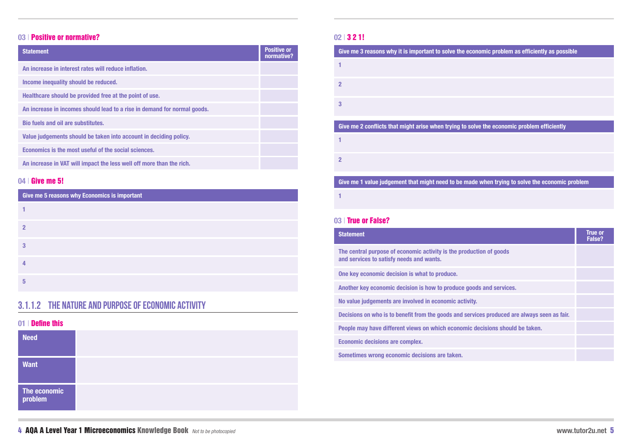## **3.1.1.2 The nature and purpose of economic activity**

## **nomic problem as efficiently as possible**

**e the economic problem efficiently** 

## when trying to solve the economic problem

## **01** | Define this

## **04** | Give me 5!

## **03** | Positive or normative?

| <b>Need</b>             |  |  |
|-------------------------|--|--|
| <b>Want</b>             |  |  |
| The economic<br>problem |  |  |

The central purpose of economic activity is the product **and services to satisfy needs and wants.**

## **Statement**

|                                       | <b>True or</b><br>False? |
|---------------------------------------|--------------------------|
| tion of goods                         |                          |
|                                       |                          |
| <b>Is and services.</b>               |                          |
|                                       |                          |
| ces produced are always seen as fair. |                          |
| ecisions should be taken.             |                          |
|                                       |                          |
|                                       |                          |

**One key economic decision is what to produce.**

Another key economic decision is how to produce good

| <b>Statement</b>                                                         | <b>Positive or</b><br>normative? |
|--------------------------------------------------------------------------|----------------------------------|
| An increase in interest rates will reduce inflation.                     |                                  |
| Income inequality should be reduced.                                     |                                  |
| Healthcare should be provided free at the point of use.                  |                                  |
| An increase in incomes should lead to a rise in demand for normal goods. |                                  |
| <b>Bio fuels and oil are substitutes.</b>                                |                                  |
| Value judgements should be taken into account in deciding policy.        |                                  |
| Economics is the most useful of the social sciences.                     |                                  |
| An increase in VAT will impact the less well off more than the rich.     |                                  |

**No value judgements are involved in economic activity.**

**Decisions on who is to benefit from the goods and services** 

**People may have different views on which economic density** 

| Give me 5 reasons why Economics is important |  |  |
|----------------------------------------------|--|--|
|                                              |  |  |
| $\boldsymbol{p}$                             |  |  |
| 3                                            |  |  |
|                                              |  |  |
| 5                                            |  |  |

**Economic decisions are complex.**

**Sometimes wrong economic decisions are taken.**

## **02** | 3 2 1!

## **03** | True or False?

| Give me 3 reasons why it is important to solve the econ  |
|----------------------------------------------------------|
| 1                                                        |
| $\overline{2}$                                           |
| 3                                                        |
| Give me 2 conflicts that might arise when trying to solv |
| 1                                                        |
| $\overline{2}$                                           |
| Give me 1 value judgement that might need to be made     |
| 1                                                        |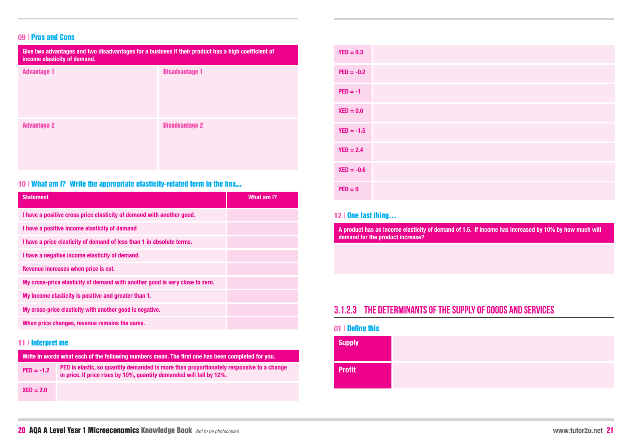## **09** | Pros and Cons

| <b>Statement</b>                                                             | What am I? |
|------------------------------------------------------------------------------|------------|
| I have a positive cross price elasticity of demand with another good.        |            |
| I have a positive income elasticity of demand                                |            |
| I have a price elasticity of demand of less than 1 in absolute terms.        |            |
| I have a negative income elasticity of demand.                               |            |
| Revenue increases when price is cut.                                         |            |
| My cross-price elasticity of demand with another good is very close to zero. |            |
| My income elasticity is positive and greater than 1.                         |            |
| My cross-price elasticity with another good is negative.                     |            |
| When price changes, revenue remains the same.                                |            |

| Give two advantages and two disadvantages for a business if their product has a high coefficient of<br>income elasticity of demand. |                       |  |
|-------------------------------------------------------------------------------------------------------------------------------------|-----------------------|--|
| <b>Advantage 1</b>                                                                                                                  | <b>Disadvantage 1</b> |  |
| <b>Advantage 2</b>                                                                                                                  | <b>Disadvantage 2</b> |  |

## 10 | What am I? Write the appropriate elasticity-related term in the box...

## **11** | Interpret me

| $YED = 0.3$  |  |
|--------------|--|
| $PED = -0.2$ |  |
| $PED = -1$   |  |
| $XED = 0.0$  |  |
| $YED = -1.5$ |  |
| $YED = 2.4$  |  |
| $XED = -0.6$ |  |
| $PED = 0$    |  |

| Write in words what each of the following numbers mean. The first one has been completed for you. |                                                                                                                                                                  |  |
|---------------------------------------------------------------------------------------------------|------------------------------------------------------------------------------------------------------------------------------------------------------------------|--|
| $PED = -1.2$                                                                                      | PED is elastic, so quantity demanded is more than proportionately responsive to a change<br>in price. If price rises by 10%, quantity demanded will fall by 12%. |  |
| $XED = 2.0$                                                                                       |                                                                                                                                                                  |  |

## **12** | One last thing…

**A product has an income elasticity of demand of 1.5. If income has increased by 10% by how much will demand for the product increase?**

## **01** | Define this

| <b>Supply</b> |  |
|---------------|--|
| <b>Profit</b> |  |

## **3.1.2.3 The determinants of the supply of goods and services**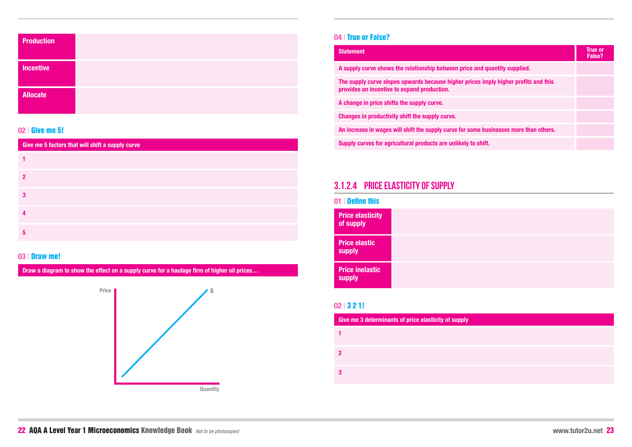| 01   Define this                        |  |  |
|-----------------------------------------|--|--|
| <b>Price elasticity</b><br>of supply    |  |  |
| <b>Price elastic</b><br><b>supply</b>   |  |  |
| <b>Price inelastic</b><br><b>supply</b> |  |  |

| <b>Production</b> |  |
|-------------------|--|
| <b>Incentive</b>  |  |
| <b>Allocate</b>   |  |

## **3.1.2.4 Price elasticity of supply**

## **02** | Give me 5!

## **03** | Draw me!

**Draw a diagram to show the effect on a supply curve for a haulage firm of higher oil prices…**



## **04** | True or False?

| <b>Statement</b>                                                                                                                   | <b>True or</b><br>False? |
|------------------------------------------------------------------------------------------------------------------------------------|--------------------------|
| A supply curve shows the relationship between price and quantity supplied.                                                         |                          |
| The supply curve slopes upwards because higher prices imply higher profits and this<br>provides an incentive to expand production. |                          |
| A change in price shifts the supply curve.                                                                                         |                          |
| Changes in productivity shift the supply curve.                                                                                    |                          |
| An increase in wages will shift the supply curve for some businesses more than others.                                             |                          |
| Supply curves for agricultural products are unlikely to shift.                                                                     |                          |



| Give me 5 factors that will shift a supply curve |  |  |
|--------------------------------------------------|--|--|
|                                                  |  |  |
| 2                                                |  |  |
| 3                                                |  |  |
|                                                  |  |  |
| 5                                                |  |  |

## **02** | 3 2 1!

| Give me 3 determinants of price elasticity of supply |  |
|------------------------------------------------------|--|
|                                                      |  |
| 2                                                    |  |
| 3                                                    |  |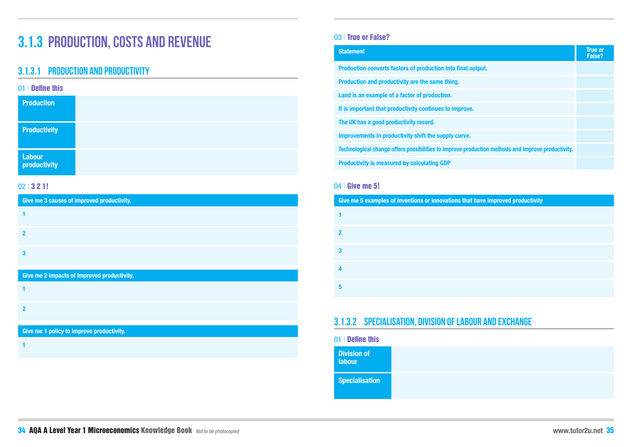# **3.1.3 Production, costs and revenue**

## **3.1.3.1 Production and productivity**

| 01   Define this              |  |  |
|-------------------------------|--|--|
| <b>Production</b>             |  |  |
| <b>Productivity</b>           |  |  |
| <b>Labour</b><br>productivity |  |  |

## **02** | 3 2 1!

| Give me 3 causes of improved productivity. |  |  |
|--------------------------------------------|--|--|
|                                            |  |  |
|                                            |  |  |
|                                            |  |  |

**Give me 2 impacts of improved productivity. 1 2**

**Give me 1 policy to improve productivity.**

**1**

## **03** | True or False?

| <b>Statement</b>                                                                                  | <b>True or</b><br>False? |
|---------------------------------------------------------------------------------------------------|--------------------------|
| Production converts factors of production into final output.                                      |                          |
| Production and productivity are the same thing.                                                   |                          |
| Land is an example of a factor of production.                                                     |                          |
| It is important that productivity continues to improve.                                           |                          |
| The UK has a good productivity record.                                                            |                          |
| Improvements in productivity shift the supply curve.                                              |                          |
| Technological change offers possibilities to improve production methods and improve productivity. |                          |
| <b>Productivity is measured by calculating GDP</b>                                                |                          |

## have improved productivity

## **04** | Give me 5!

| Give me 5 examples of inventions or innovations that h |  |
|--------------------------------------------------------|--|
|                                                        |  |
|                                                        |  |
|                                                        |  |
|                                                        |  |
|                                                        |  |

## **3.1.3.2 Specialisation, division of labour and exchange**

**01** | Define this

| <b>Division of</b><br><b>labour</b> |  |
|-------------------------------------|--|
| <b>Specialisation</b>               |  |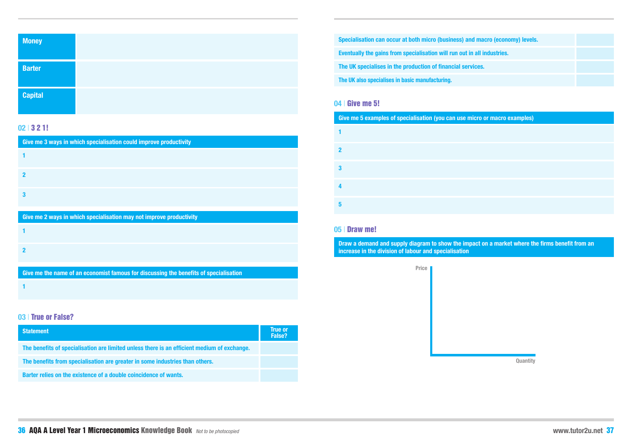| macro (economy) levels. |  |
|-------------------------|--|
| II industries.          |  |
| es.                     |  |
|                         |  |

**Cive of macro examples)** 

| <b>Money</b>   |  |  |
|----------------|--|--|
| <b>Barter</b>  |  |  |
| <b>Capital</b> |  |  |

## **02** | 3 2 1!

| Give me 3 ways in which specialisation could improve productivity   |  |  |
|---------------------------------------------------------------------|--|--|
|                                                                     |  |  |
| 2                                                                   |  |  |
| 3                                                                   |  |  |
| Give me 2 ways in which specialisation may not improve productivity |  |  |
|                                                                     |  |  |
| פ                                                                   |  |  |

**Give me the name of an economist famous for discussing the benefits of specialisation**

**1**

## **03** | True or False?

| <b>Statement</b>                                                                            | <b>True or</b><br>False? |
|---------------------------------------------------------------------------------------------|--------------------------|
| The benefits of specialisation are limited unless there is an efficient medium of exchange. |                          |
| The benefits from specialisation are greater in some industries than others.                |                          |
| Barter relies on the existence of a double coincidence of wants.                            |                          |

**Eventually the gains from specialisation will run out in all The UK specialises in the production of financial services. The UK also specialises in basic manufacturing. Specialisation can occur at both micro (business) and r** 

## **04** | Give me 5!

## **05** | Draw me!

**Draw a demand and supply diagram to show the impact on a market where the firms benefit from an increase in the division of labour and specialisation**

**Price**

**Quantity**

|   | Give me 5 examples of specialisation (you can use mid |
|---|-------------------------------------------------------|
|   |                                                       |
| 2 |                                                       |
| 3 |                                                       |
|   |                                                       |
| 5 |                                                       |
|   |                                                       |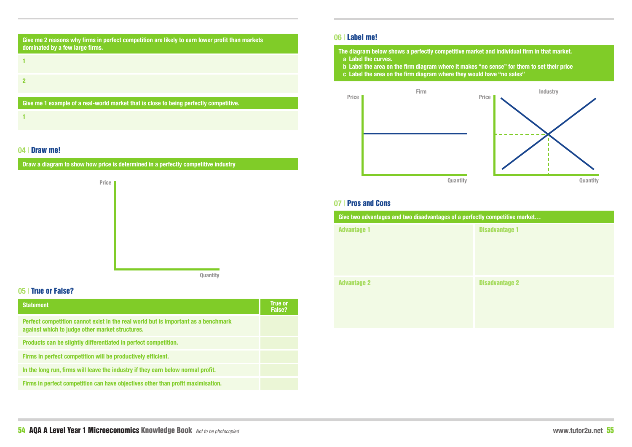## **Ket and individual firm in that market.**

**b** "no sense" for them to set their price **and have "no sales"** 

## **04** | Draw me!

**Draw a diagram to show how price is determined in a perfectly competitive industry**



## **05** | True or False?

| <b>Statement</b>                                                                                                                      | <b>True or</b><br>False? |
|---------------------------------------------------------------------------------------------------------------------------------------|--------------------------|
| Perfect competition cannot exist in the real world but is important as a benchmark<br>against which to judge other market structures. |                          |
| Products can be slightly differentiated in perfect competition.                                                                       |                          |
| Firms in perfect competition will be productively efficient.                                                                          |                          |
| In the long run, firms will leave the industry if they earn below normal profit.                                                      |                          |
| Firms in perfect competition can have objectives other than profit maximisation.                                                      |                          |

| 06   Label me! |                                                                                                                                                                                                            |       |
|----------------|------------------------------------------------------------------------------------------------------------------------------------------------------------------------------------------------------------|-------|
|                | The diagram below shows a perfectly competitive market are<br>a Label the curves.<br>b Label the area on the firm diagram where it makes "no s<br>c Label the area on the firm diagram where they would ha |       |
| <b>Price</b>   | Firm                                                                                                                                                                                                       | Price |

**Quantity**



## fly competitive market...

**Disadvantage 1** 

**Disadvantage 2** 

## **07** | Pros and Cons

| Give two advantages and two disadvantages of a perfect |  |
|--------------------------------------------------------|--|
| <b>Advantage 1</b>                                     |  |
| <b>Advantage 2</b>                                     |  |

| Give me 2 reasons why firms in perfect competition are likely to earn lower profit than markets<br>dominated by a few large firms. |  |  |
|------------------------------------------------------------------------------------------------------------------------------------|--|--|
|                                                                                                                                    |  |  |
|                                                                                                                                    |  |  |
| Give me 1 example of a real-world market that is close to being perfectly competitive.                                             |  |  |
|                                                                                                                                    |  |  |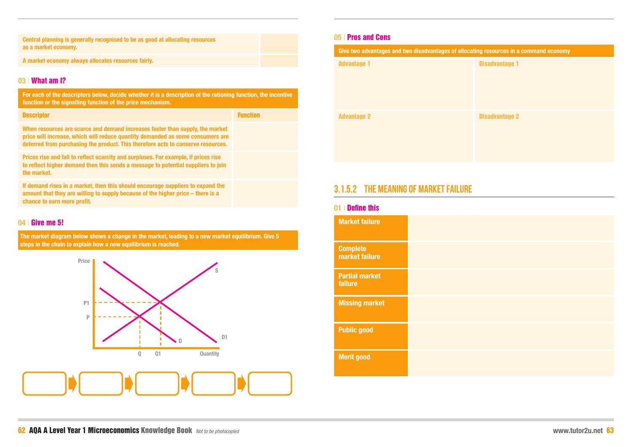## **Give two advantages in a command economy**

**Central planning is generally recognised to be as good at allocating resources as a market economy.**

**A market economy always allocates resources fairly.**

## **03** | What am I?

**For each of the descriptors below, decide whether it is a description of the rationing function, the incentive function or the signalling function of the price mechanism.**

| <b>Descriptor</b>                                                                                                                                                                                                                                   | <b>Function</b> |
|-----------------------------------------------------------------------------------------------------------------------------------------------------------------------------------------------------------------------------------------------------|-----------------|
| When resources are scarce and demand increases faster than supply, the market<br>price will increase, which will reduce quantity demanded as some consumers are<br>deterred from purchasing the product. This therefore acts to conserve resources. |                 |
| Prices rise and fall to reflect scarcity and surpluses. For example, if prices rise<br>to reflect higher demand then this sends a message to potential suppliers to join<br>the market.                                                             |                 |
| If demand rises in a market, then this should encourage suppliers to expand the<br>amount that they are willing to supply because of the higher price – there is a                                                                                  |                 |

**chance to earn more profit.**

**04** | Give me 5!

**The market diagram below shows a change in the market, leading to a new market equilibrium. Give 5 steps in the chain to explain how a new equilibrium is reached.**



## **05** | Pros and Cons

| Give two advantages and two disadvantages of allocation |
|---------------------------------------------------------|
| <b>Advantage 1</b>                                      |
|                                                         |
|                                                         |
|                                                         |
| <b>Advantage 2</b>                                      |
|                                                         |
|                                                         |
|                                                         |
|                                                         |

### Disadvantage 1

Disadvantage 2

## **3.1.5.2 The meaning of market failure**

## **01** | Define this

| <b>Market failure</b>             |  |
|-----------------------------------|--|
| <b>Complete</b><br>market failure |  |
| <b>Partial market</b><br>failure  |  |
| <b>Missing market</b>             |  |
| <b>Public good</b>                |  |
| <b>Merit good</b>                 |  |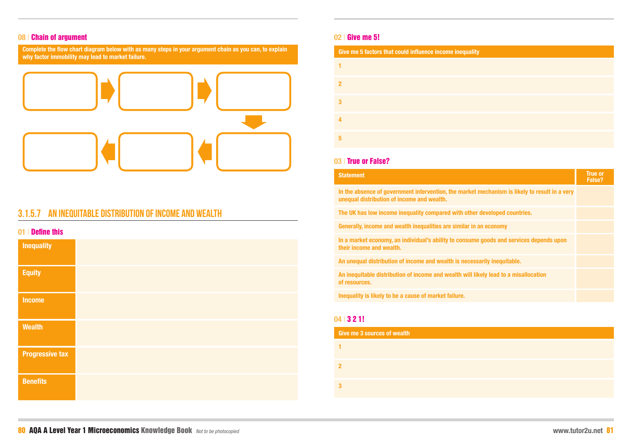## **08** | Chain of argument

**Complete the flow chart diagram below with as many steps in your argument chain as you can, to explain why factor immobility may lead to market failure.**



## **3.1.5.7 An inequitable distribution of income and wealth**

## **01** | Define this

In the absence of government intervention, the market **r unequal distribution of income and wealth.**

The UK has low income inequality compared with other

| <b>Inequality</b>      |  |
|------------------------|--|
| <b>Equity</b>          |  |
| <b>Income</b>          |  |
| <b>Wealth</b>          |  |
| <b>Progressive tax</b> |  |
| <b>Benefits</b>        |  |

**Generally, income and wealth inequalities are similar in a** 

## **02** | Give me 5!

| <u>VET MITTLE HIS VI</u>                                 |  |  |
|----------------------------------------------------------|--|--|
| Give me 5 factors that could influence income inequality |  |  |
|                                                          |  |  |
|                                                          |  |  |
| 3                                                        |  |  |
|                                                          |  |  |
| 5                                                        |  |  |

**In a market economy, an individual's ability to consume their income and wealth.**

An unequal distribution of income and wealth is necess

**An inequitable distribution of income and wealth will like of resources.**

## **03** | True or False?

## **Statement**

|                                         | <b>True or</b><br><b>False?</b> |
|-----------------------------------------|---------------------------------|
| mechanism is likely to result in a very |                                 |
| developed countries.                    |                                 |
| an economy                              |                                 |
| goods and services depends upon         |                                 |
| arily inequitable.                      |                                 |
| <b>Rely lead to a misallocation</b>     |                                 |
|                                         |                                 |

**Inequality is likely to be a cause of market failure.**

## **04** | 3 2 1!

| <b>Give me 3 sources of wealth</b> |  |
|------------------------------------|--|
|                                    |  |
| 2                                  |  |
|                                    |  |